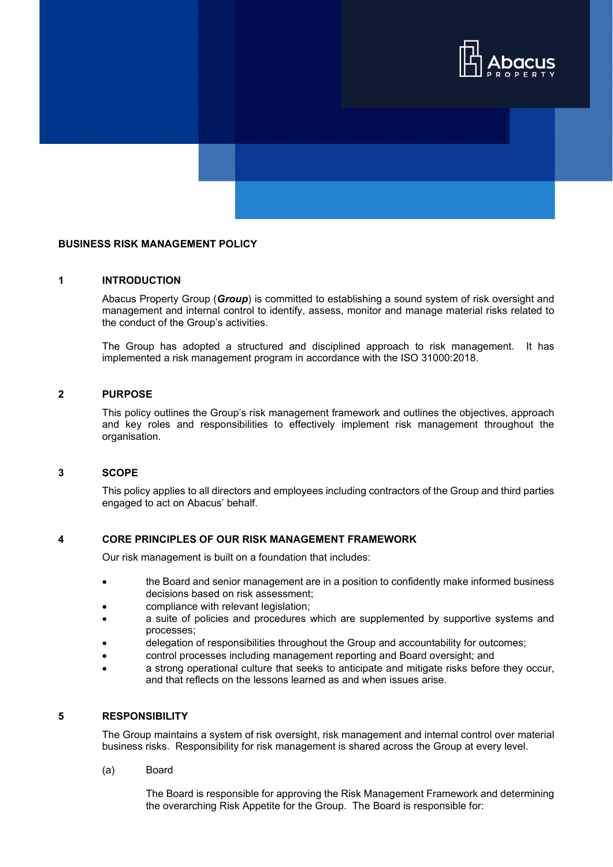

# **BUSINESS RISK MANAGEMENT POLICY**

# **1 INTRODUCTION**

Abacus Property Group (*Group*) is committed to establishing a sound system of risk oversight and management and internal control to identify, assess, monitor and manage material risks related to the conduct of the Group's activities.

The Group has adopted a structured and disciplined approach to risk management. It has implemented a risk management program in accordance with the ISO 31000:2018.

### **2 PURPOSE**

This policy outlines the Group's risk management framework and outlines the objectives, approach and key roles and responsibilities to effectively implement risk management throughout the organisation.

#### **3 SCOPE**

This policy applies to all directors and employees including contractors of the Group and third parties engaged to act on Abacus' behalf.

### **4 CORE PRINCIPLES OF OUR RISK MANAGEMENT FRAMEWORK**

Our risk management is built on a foundation that includes:

- the Board and senior management are in a position to confidently make informed business decisions based on risk assessment;
- compliance with relevant legislation;
- a suite of policies and procedures which are supplemented by supportive systems and processes;
- delegation of responsibilities throughout the Group and accountability for outcomes;
- control processes including management reporting and Board oversight; and
- a strong operational culture that seeks to anticipate and mitigate risks before they occur, and that reflects on the lessons learned as and when issues arise.

# **5 RESPONSIBILITY**

The Group maintains a system of risk oversight, risk management and internal control over material business risks. Responsibility for risk management is shared across the Group at every level.

(a) Board

The Board is responsible for approving the Risk Management Framework and determining the overarching Risk Appetite for the Group. The Board is responsible for: